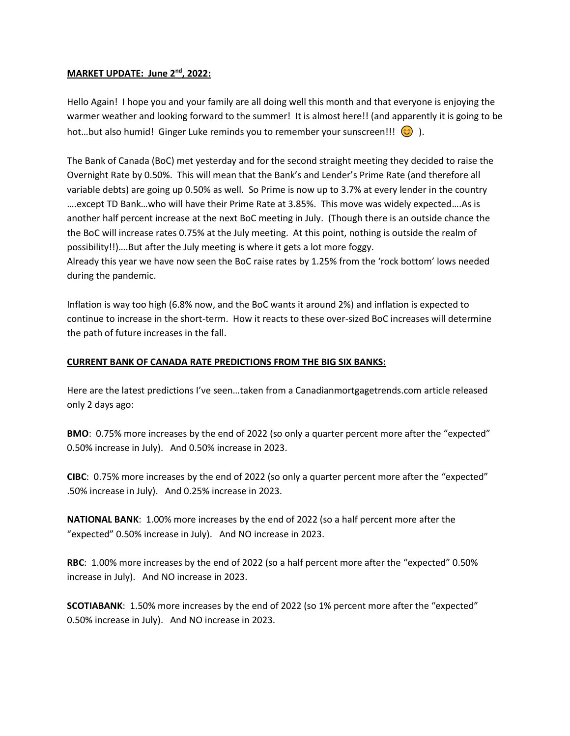## **MARKET UPDATE: June 2nd, 2022:**

Hello Again! I hope you and your family are all doing well this month and that everyone is enjoying the warmer weather and looking forward to the summer! It is almost here!! (and apparently it is going to be hot...but also humid! Ginger Luke reminds you to remember your sunscreen!!!  $\odot$  ).

The Bank of Canada (BoC) met yesterday and for the second straight meeting they decided to raise the Overnight Rate by 0.50%. This will mean that the Bank's and Lender's Prime Rate (and therefore all variable debts) are going up 0.50% as well. So Prime is now up to 3.7% at every lender in the country ….except TD Bank…who will have their Prime Rate at 3.85%. This move was widely expected….As is another half percent increase at the next BoC meeting in July. (Though there is an outside chance the the BoC will increase rates 0.75% at the July meeting. At this point, nothing is outside the realm of possibility!!)….But after the July meeting is where it gets a lot more foggy.

Already this year we have now seen the BoC raise rates by 1.25% from the 'rock bottom' lows needed during the pandemic.

Inflation is way too high (6.8% now, and the BoC wants it around 2%) and inflation is expected to continue to increase in the short-term. How it reacts to these over-sized BoC increases will determine the path of future increases in the fall.

## **CURRENT BANK OF CANADA RATE PREDICTIONS FROM THE BIG SIX BANKS:**

Here are the latest predictions I've seen…taken from a Canadianmortgagetrends.com article released only 2 days ago:

**BMO**: 0.75% more increases by the end of 2022 (so only a quarter percent more after the "expected" 0.50% increase in July). And 0.50% increase in 2023.

**CIBC**: 0.75% more increases by the end of 2022 (so only a quarter percent more after the "expected" .50% increase in July). And 0.25% increase in 2023.

**NATIONAL BANK**: 1.00% more increases by the end of 2022 (so a half percent more after the "expected" 0.50% increase in July). And NO increase in 2023.

**RBC**: 1.00% more increases by the end of 2022 (so a half percent more after the "expected" 0.50% increase in July). And NO increase in 2023.

**SCOTIABANK**: 1.50% more increases by the end of 2022 (so 1% percent more after the "expected" 0.50% increase in July). And NO increase in 2023.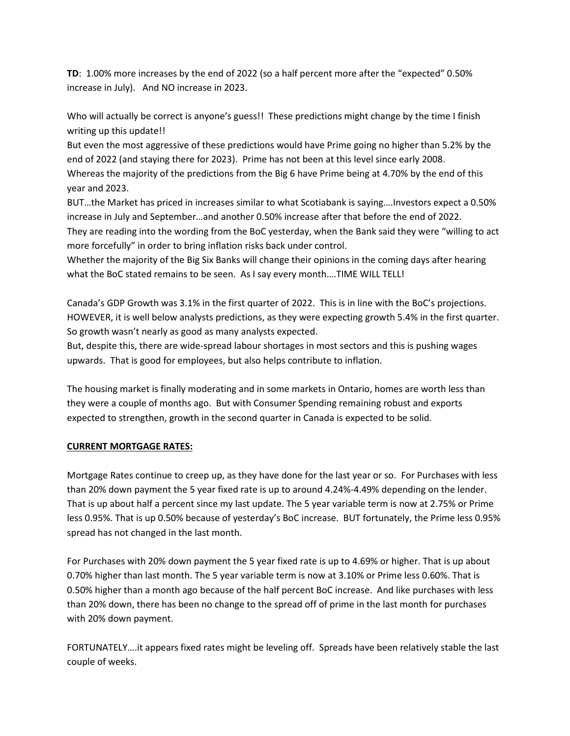**TD**: 1.00% more increases by the end of 2022 (so a half percent more after the "expected" 0.50% increase in July). And NO increase in 2023.

Who will actually be correct is anyone's guess!! These predictions might change by the time I finish writing up this update!!

But even the most aggressive of these predictions would have Prime going no higher than 5.2% by the end of 2022 (and staying there for 2023). Prime has not been at this level since early 2008. Whereas the majority of the predictions from the Big 6 have Prime being at 4.70% by the end of this year and 2023.

BUT…the Market has priced in increases similar to what Scotiabank is saying….Investors expect a 0.50% increase in July and September…and another 0.50% increase after that before the end of 2022.

They are reading into the wording from the BoC yesterday, when the Bank said they were "willing to act more forcefully" in order to bring inflation risks back under control.

Whether the majority of the Big Six Banks will change their opinions in the coming days after hearing what the BoC stated remains to be seen. As I say every month….TIME WILL TELL!

Canada's GDP Growth was 3.1% in the first quarter of 2022. This is in line with the BoC's projections. HOWEVER, it is well below analysts predictions, as they were expecting growth 5.4% in the first quarter. So growth wasn't nearly as good as many analysts expected.

But, despite this, there are wide-spread labour shortages in most sectors and this is pushing wages upwards. That is good for employees, but also helps contribute to inflation.

The housing market is finally moderating and in some markets in Ontario, homes are worth less than they were a couple of months ago. But with Consumer Spending remaining robust and exports expected to strengthen, growth in the second quarter in Canada is expected to be solid.

## **CURRENT MORTGAGE RATES:**

Mortgage Rates continue to creep up, as they have done for the last year or so. For Purchases with less than 20% down payment the 5 year fixed rate is up to around 4.24%-4.49% depending on the lender. That is up about half a percent since my last update. The 5 year variable term is now at 2.75% or Prime less 0.95%. That is up 0.50% because of yesterday's BoC increase. BUT fortunately, the Prime less 0.95% spread has not changed in the last month.

For Purchases with 20% down payment the 5 year fixed rate is up to 4.69% or higher. That is up about 0.70% higher than last month. The 5 year variable term is now at 3.10% or Prime less 0.60%. That is 0.50% higher than a month ago because of the half percent BoC increase. And like purchases with less than 20% down, there has been no change to the spread off of prime in the last month for purchases with 20% down payment.

FORTUNATELY….it appears fixed rates might be leveling off. Spreads have been relatively stable the last couple of weeks.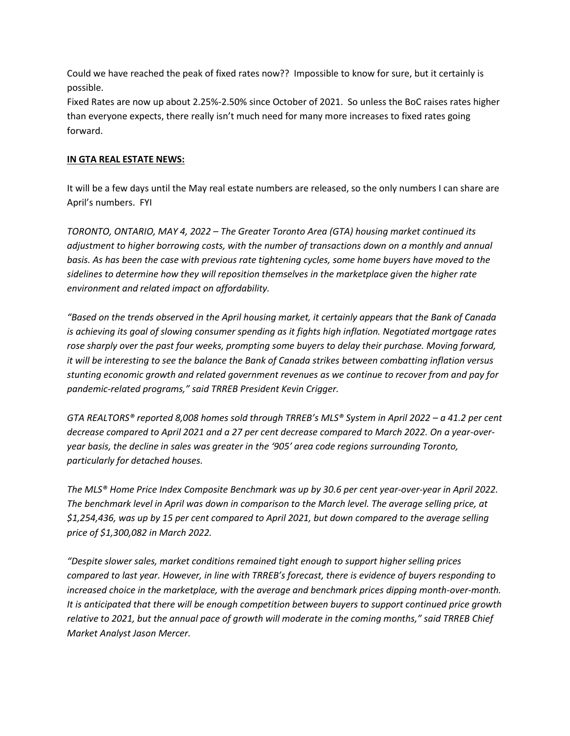Could we have reached the peak of fixed rates now?? Impossible to know for sure, but it certainly is possible.

Fixed Rates are now up about 2.25%-2.50% since October of 2021. So unless the BoC raises rates higher than everyone expects, there really isn't much need for many more increases to fixed rates going forward.

## **IN GTA REAL ESTATE NEWS:**

It will be a few days until the May real estate numbers are released, so the only numbers I can share are April's numbers. FYI

*TORONTO, ONTARIO, MAY 4, 2022 – The Greater Toronto Area (GTA) housing market continued its adjustment to higher borrowing costs, with the number of transactions down on a monthly and annual basis. As has been the case with previous rate tightening cycles, some home buyers have moved to the sidelines to determine how they will reposition themselves in the marketplace given the higher rate environment and related impact on affordability.* 

*"Based on the trends observed in the April housing market, it certainly appears that the Bank of Canada is achieving its goal of slowing consumer spending as it fights high inflation. Negotiated mortgage rates rose sharply over the past four weeks, prompting some buyers to delay their purchase. Moving forward, it will be interesting to see the balance the Bank of Canada strikes between combatting inflation versus stunting economic growth and related government revenues as we continue to recover from and pay for pandemic-related programs," said TRREB President Kevin Crigger.* 

*GTA REALTORS® reported 8,008 homes sold through TRREB's MLS® System in April 2022 – a 41.2 per cent decrease compared to April 2021 and a 27 per cent decrease compared to March 2022. On a year-overyear basis, the decline in sales was greater in the '905' area code regions surrounding Toronto, particularly for detached houses.* 

*The MLS® Home Price Index Composite Benchmark was up by 30.6 per cent year-over-year in April 2022. The benchmark level in April was down in comparison to the March level. The average selling price, at \$1,254,436, was up by 15 per cent compared to April 2021, but down compared to the average selling price of \$1,300,082 in March 2022.* 

*"Despite slower sales, market conditions remained tight enough to support higher selling prices compared to last year. However, in line with TRREB's forecast, there is evidence of buyers responding to increased choice in the marketplace, with the average and benchmark prices dipping month-over-month. It is anticipated that there will be enough competition between buyers to support continued price growth relative to 2021, but the annual pace of growth will moderate in the coming months," said TRREB Chief Market Analyst Jason Mercer.*